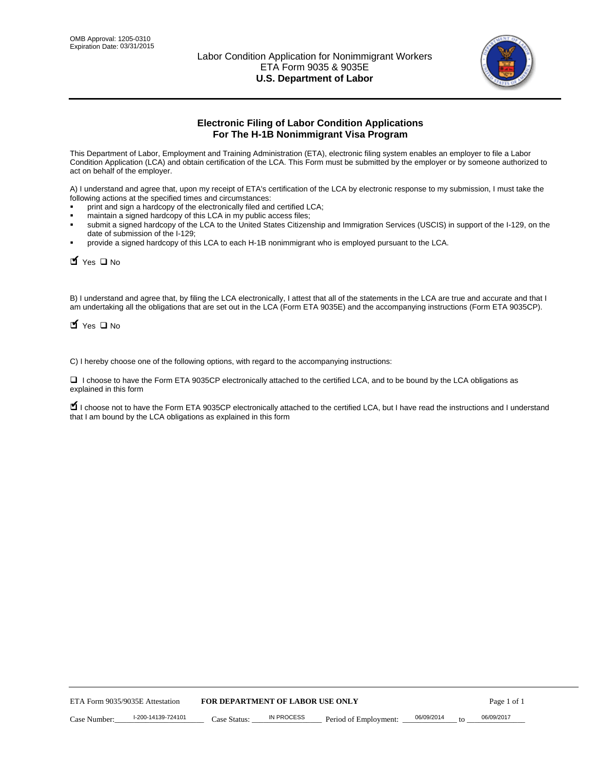

# **Electronic Filing of Labor Condition Applications For The H-1B Nonimmigrant Visa Program**

This Department of Labor, Employment and Training Administration (ETA), electronic filing system enables an employer to file a Labor Condition Application (LCA) and obtain certification of the LCA. This Form must be submitted by the employer or by someone authorized to act on behalf of the employer.

A) I understand and agree that, upon my receipt of ETA's certification of the LCA by electronic response to my submission, I must take the following actions at the specified times and circumstances:

- print and sign a hardcopy of the electronically filed and certified LCA;
- maintain a signed hardcopy of this LCA in my public access files;
- submit a signed hardcopy of the LCA to the United States Citizenship and Immigration Services (USCIS) in support of the I-129, on the date of submission of the I-129;
- provide a signed hardcopy of this LCA to each H-1B nonimmigrant who is employed pursuant to the LCA.

| Yes O No                                                                                                                                                                                                                                                                                                               |                                  |                   |                       |                  |             |
|------------------------------------------------------------------------------------------------------------------------------------------------------------------------------------------------------------------------------------------------------------------------------------------------------------------------|----------------------------------|-------------------|-----------------------|------------------|-------------|
| B) I understand and agree that, by filing the LCA electronically, I attest that all of the statements in the LCA are true and accurate and th<br>am undertaking all the obligations that are set out in the LCA (Form ETA 9035E) and the accompanying instructions (Form ETA 9035CF<br>$\blacksquare$ Yes $\square$ No |                                  |                   |                       |                  |             |
| C) I hereby choose one of the following options, with regard to the accompanying instructions:                                                                                                                                                                                                                         |                                  |                   |                       |                  |             |
| □ I choose to have the Form ETA 9035CP electronically attached to the certified LCA, and to be bound by the LCA obligations as<br>explained in this form                                                                                                                                                               |                                  |                   |                       |                  |             |
| I choose not to have the Form ETA 9035CP electronically attached to the certified LCA, but I have read the instructions and I unders<br>that I am bound by the LCA obligations as explained in this form                                                                                                               |                                  |                   |                       |                  |             |
|                                                                                                                                                                                                                                                                                                                        |                                  |                   |                       |                  |             |
|                                                                                                                                                                                                                                                                                                                        |                                  |                   |                       |                  |             |
|                                                                                                                                                                                                                                                                                                                        |                                  |                   |                       |                  |             |
|                                                                                                                                                                                                                                                                                                                        |                                  |                   |                       |                  |             |
|                                                                                                                                                                                                                                                                                                                        |                                  |                   |                       |                  |             |
|                                                                                                                                                                                                                                                                                                                        |                                  |                   |                       |                  |             |
|                                                                                                                                                                                                                                                                                                                        |                                  |                   |                       |                  |             |
|                                                                                                                                                                                                                                                                                                                        |                                  |                   |                       |                  |             |
|                                                                                                                                                                                                                                                                                                                        |                                  |                   |                       |                  |             |
|                                                                                                                                                                                                                                                                                                                        |                                  |                   |                       |                  |             |
| ETA Form 9035/9035E Attestation                                                                                                                                                                                                                                                                                        | FOR DEPARTMENT OF LABOR USE ONLY |                   |                       |                  | Page 1 of 1 |
| I-200-14139-724101<br>Case Number:                                                                                                                                                                                                                                                                                     | Case Status:                     | <b>IN PROCESS</b> | Period of Employment: | 06/09/2014<br>to | 06/09/2017  |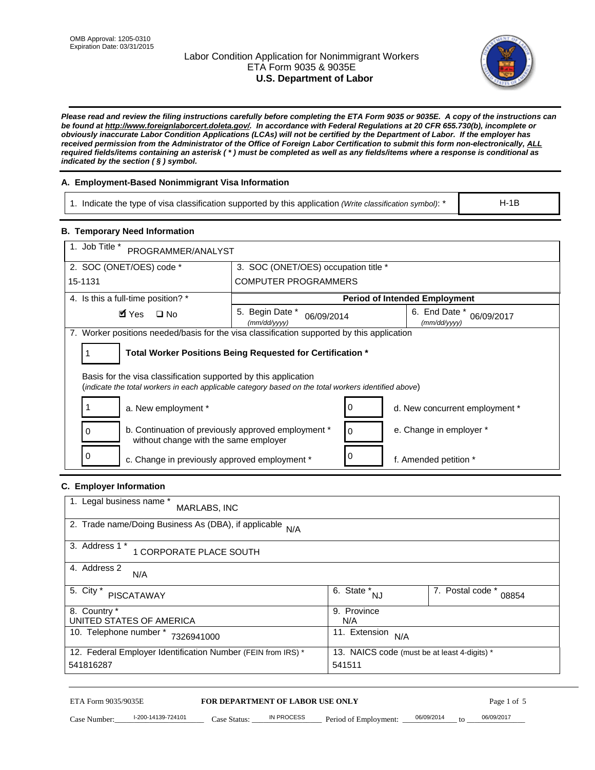# Labor Condition Application for Nonimmigrant Workers ETA Form 9035 & 9035E **U.S. Department of Labor**



*Please read and review the filing instructions carefully before completing the ETA Form 9035 or 9035E. A copy of the instructions can be found at http://www.foreignlaborcert.doleta.gov/. In accordance with Federal Regulations at 20 CFR 655.730(b), incomplete or obviously inaccurate Labor Condition Applications (LCAs) will not be certified by the Department of Labor. If the employer has received permission from the Administrator of the Office of Foreign Labor Certification to submit this form non-electronically, ALL required fields/items containing an asterisk ( \* ) must be completed as well as any fields/items where a response is conditional as indicated by the section ( § ) symbol.* 

# **A. Employment-Based Nonimmigrant Visa Information**

1. Indicate the type of visa classification supported by this application *(Write classification symbol)*: \*

### **B. Temporary Need Information**

|                                                                                                                                                                         | 1. Indicate the type of visa classification supported by this application (Write classification symbol): *<br>$H-1B$ |                                                        |                                |                           |  |
|-------------------------------------------------------------------------------------------------------------------------------------------------------------------------|----------------------------------------------------------------------------------------------------------------------|--------------------------------------------------------|--------------------------------|---------------------------|--|
| <b>B. Temporary Need Information</b>                                                                                                                                    |                                                                                                                      |                                                        |                                |                           |  |
| 1. Job Title *<br>PROGRAMMER/ANALYST                                                                                                                                    |                                                                                                                      |                                                        |                                |                           |  |
| 2. SOC (ONET/OES) code *<br>3. SOC (ONET/OES) occupation title *                                                                                                        |                                                                                                                      |                                                        |                                |                           |  |
| 15-1131                                                                                                                                                                 | <b>COMPUTER PROGRAMMERS</b>                                                                                          |                                                        |                                |                           |  |
| 4. Is this a full-time position? *                                                                                                                                      | <b>Period of Intended Employment</b>                                                                                 |                                                        |                                |                           |  |
| $\blacksquare$ Yes<br>$\square$ No                                                                                                                                      | 5. Begin Date *<br>06/09/2014<br>(mm/dd/yyyy)                                                                        |                                                        | 6. End Date *<br>(mm/dd/yyyy)  | 06/09/2017                |  |
| 7. Worker positions needed/basis for the visa classification supported by this application                                                                              |                                                                                                                      |                                                        |                                |                           |  |
| Total Worker Positions Being Requested for Certification *<br>1                                                                                                         |                                                                                                                      |                                                        |                                |                           |  |
| Basis for the visa classification supported by this application<br>(indicate the total workers in each applicable category based on the total workers identified above) |                                                                                                                      |                                                        |                                |                           |  |
| 1<br>a. New employment *                                                                                                                                                |                                                                                                                      | 0                                                      | d. New concurrent employment * |                           |  |
| b. Continuation of previously approved employment *<br>0<br>without change with the same employer                                                                       |                                                                                                                      | 0                                                      | e. Change in employer *        |                           |  |
| 0<br>c. Change in previously approved employment *                                                                                                                      |                                                                                                                      | 0                                                      | f. Amended petition *          |                           |  |
| C. Employer Information                                                                                                                                                 |                                                                                                                      |                                                        |                                |                           |  |
| 1. Legal business name *<br>MARLABS, INC                                                                                                                                |                                                                                                                      |                                                        |                                |                           |  |
| 2. Trade name/Doing Business As (DBA), if applicable                                                                                                                    | N/A                                                                                                                  |                                                        |                                |                           |  |
| 3. Address 1 *<br>1 CORPORATE PLACE SOUTH                                                                                                                               |                                                                                                                      |                                                        |                                |                           |  |
| 4. Address 2<br>N/A                                                                                                                                                     |                                                                                                                      |                                                        |                                |                           |  |
| 5. City *<br><b>PISCATAWAY</b>                                                                                                                                          |                                                                                                                      | $\overline{6. \text{ State}}^*_{NJ}$                   |                                | 7. Postal code *<br>08854 |  |
| 8. Country *<br>UNITED STATES OF AMERICA                                                                                                                                |                                                                                                                      | 9. Province<br>N/A                                     |                                |                           |  |
| 10. Telephone number * 7326941000                                                                                                                                       |                                                                                                                      | 11. Extension $N/A$                                    |                                |                           |  |
| 12. Federal Employer Identification Number (FEIN from IRS) *<br>541816287                                                                                               |                                                                                                                      | 13. NAICS code (must be at least 4-digits) *<br>541511 |                                |                           |  |
| ETA Form 9035/9035E<br>I-200-14139-724101<br>Case Number:                                                                                                               | <b>FOR DEPARTMENT OF LABOR USE ONLY</b><br>IN PROCESS<br>$Case$ Statue                                               | Period of Employment:                                  | 06/09/2014                     | Page 1 of 5<br>06/09/2017 |  |

# **C. Employer Information**

| 1. Legal business name *<br>MARLABS, INC                     |                                              |                           |
|--------------------------------------------------------------|----------------------------------------------|---------------------------|
| 2. Trade name/Doing Business As (DBA), if applicable N/A     |                                              |                           |
| 3. Address 1 *<br>1 CORPORATE PLACE SOUTH                    |                                              |                           |
| 4. Address 2<br>N/A                                          |                                              |                           |
| 5. City *<br>PISCATAWAY                                      | $\overline{6}$ . State $N_{\text{N}}$        | 7. Postal code *<br>08854 |
| 8. Country *                                                 | 9. Province                                  |                           |
| UNITED STATES OF AMERICA                                     | N/A                                          |                           |
| 10. Telephone number *<br>7326941000                         | 11. Extension<br>N/A                         |                           |
| 12. Federal Employer Identification Number (FEIN from IRS) * | 13. NAICS code (must be at least 4-digits) * |                           |
| 541816287                                                    | 541511                                       |                           |

# ETA Form 9035/9035E **FOR DEPARTMENT OF LABOR USE ONLY** Page 1 of 5<br>Case Number: 1-200-14139-724101 Case Status: IN PROCESS Period of Employment: 06/09/2014 to 06/09/2017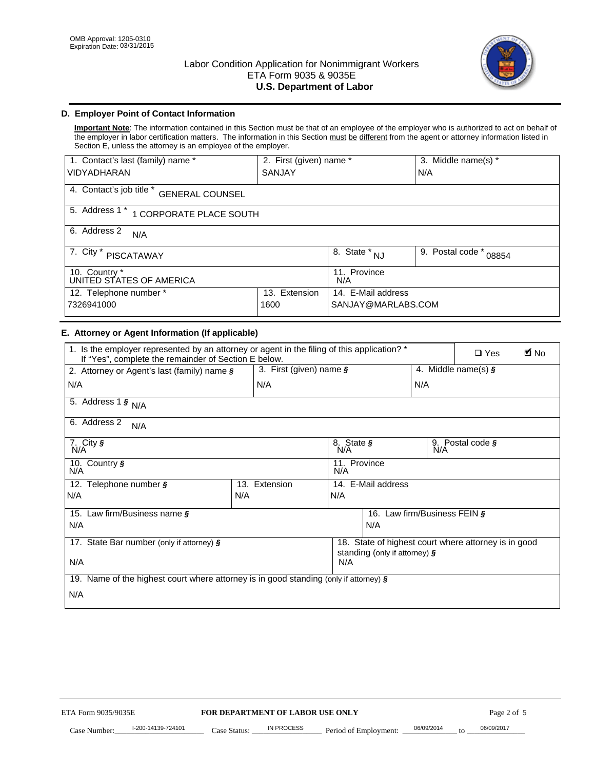

# **D. Employer Point of Contact Information**

**Important Note**: The information contained in this Section must be that of an employee of the employer who is authorized to act on behalf of the employer in labor certification matters. The information in this Section must be different from the agent or attorney information listed in Section E, unless the attorney is an employee of the employer.

| 1. Contact's last (family) name *                  | 2. First (given) name * |                                   | 3. Middle name(s) *       |  |
|----------------------------------------------------|-------------------------|-----------------------------------|---------------------------|--|
| <b>VIDYADHARAN</b>                                 | <b>SANJAY</b>           |                                   | N/A                       |  |
| 4. Contact's job title *<br><b>GENERAL COUNSEL</b> |                         |                                   |                           |  |
| 5. Address 1 *<br>1 CORPORATE PLACE SOUTH          |                         |                                   |                           |  |
| 6. Address 2<br>N/A                                |                         |                                   |                           |  |
| 7. City $*$<br><b>PISCATAWAY</b>                   |                         | $8. \overline{\text{State}}^*$ NJ | 9. Postal code *<br>08854 |  |
| 10. Country *<br>UNITED STATES OF AMERICA          |                         | 11. Province<br>N/A               |                           |  |
| 12. Telephone number *<br>Extension<br>13.         |                         | 14. E-Mail address                |                           |  |
| 7326941000<br>1600                                 |                         | SANJAY@MARLABS.COM                |                           |  |

# **E. Attorney or Agent Information (If applicable)**

| VIDYADHARAN                                                                                                                                         | SANJAY                           |                     |                                          | N/A                          |                                                      |             |
|-----------------------------------------------------------------------------------------------------------------------------------------------------|----------------------------------|---------------------|------------------------------------------|------------------------------|------------------------------------------------------|-------------|
| 4. Contact's job title * GENERAL COUNSEL                                                                                                            |                                  |                     |                                          |                              |                                                      |             |
| 5. Address 1 * 1 CORPORATE PLACE SOUTH                                                                                                              |                                  |                     |                                          |                              |                                                      |             |
| 6. Address 2<br>N/A                                                                                                                                 |                                  |                     |                                          |                              |                                                      |             |
| 7. City * PISCATAWAY                                                                                                                                |                                  | 8. State $*_{NJ}$   |                                          | 9. Postal code *             | 08854                                                |             |
| 10. Country *<br>UNITED STATES OF AMERICA                                                                                                           |                                  | 11. Province<br>N/A |                                          |                              |                                                      |             |
| 12. Telephone number *<br>7326941000                                                                                                                | 13. Extension<br>1600            |                     | 14. E-Mail address<br>SANJAY@MARLABS.COM |                              |                                                      |             |
| E. Attorney or Agent Information (If applicable)                                                                                                    |                                  |                     |                                          |                              |                                                      |             |
| 1. Is the employer represented by an attorney or agent in the filing of this application? *<br>If "Yes", complete the remainder of Section E below. |                                  |                     |                                          |                              | $\Box$ Yes                                           | <b>A</b> No |
| 2. Attorney or Agent's last (family) name §                                                                                                         | 3. First (given) name §          |                     |                                          |                              | 4. Middle name(s) $\sqrt{s}$                         |             |
| N/A                                                                                                                                                 | N/A                              |                     |                                          | N/A                          |                                                      |             |
| 5. Address 1 $\frac{1}{9}$ N/A                                                                                                                      |                                  |                     |                                          |                              |                                                      |             |
| 6. Address 2<br>N/A                                                                                                                                 |                                  |                     |                                          |                              |                                                      |             |
| 7. City §<br>N/A                                                                                                                                    |                                  | 8. State §<br>N/A   |                                          | 9. Postal code §             |                                                      |             |
| 10. Country §<br>N/A                                                                                                                                |                                  | 11. Province<br>N/A |                                          |                              |                                                      |             |
| 12. Telephone number §                                                                                                                              | 13. Extension                    | 14. E-Mail address  |                                          |                              |                                                      |             |
| N/A                                                                                                                                                 | N/A                              | N/A                 |                                          |                              |                                                      |             |
| 15. Law firm/Business name §                                                                                                                        |                                  |                     |                                          | 16. Law firm/Business FEIN § |                                                      |             |
| N/A                                                                                                                                                 |                                  |                     | N/A                                      |                              |                                                      |             |
| 17. State Bar number (only if attorney) §                                                                                                           |                                  |                     | standing (only if attorney) §            |                              | 18. State of highest court where attorney is in good |             |
| N/A                                                                                                                                                 |                                  | N/A                 |                                          |                              |                                                      |             |
| 19. Name of the highest court where attorney is in good standing (only if attorney) §                                                               |                                  |                     |                                          |                              |                                                      |             |
| N/A                                                                                                                                                 |                                  |                     |                                          |                              |                                                      |             |
|                                                                                                                                                     |                                  |                     |                                          |                              |                                                      |             |
|                                                                                                                                                     |                                  |                     |                                          |                              |                                                      |             |
|                                                                                                                                                     |                                  |                     |                                          |                              |                                                      |             |
|                                                                                                                                                     |                                  |                     |                                          |                              |                                                      |             |
|                                                                                                                                                     |                                  |                     |                                          |                              |                                                      |             |
|                                                                                                                                                     |                                  |                     |                                          |                              |                                                      |             |
|                                                                                                                                                     |                                  |                     |                                          |                              |                                                      |             |
| ETA Form 9035/9035E                                                                                                                                 | FOR DEPARTMENT OF LABOR USE ONLY |                     |                                          |                              | Page 2 of 5                                          |             |
| I-200-14139-724101                                                                                                                                  | <b>IN PROCESS</b>                |                     |                                          | 06/09/2014                   | 06/09/2017                                           |             |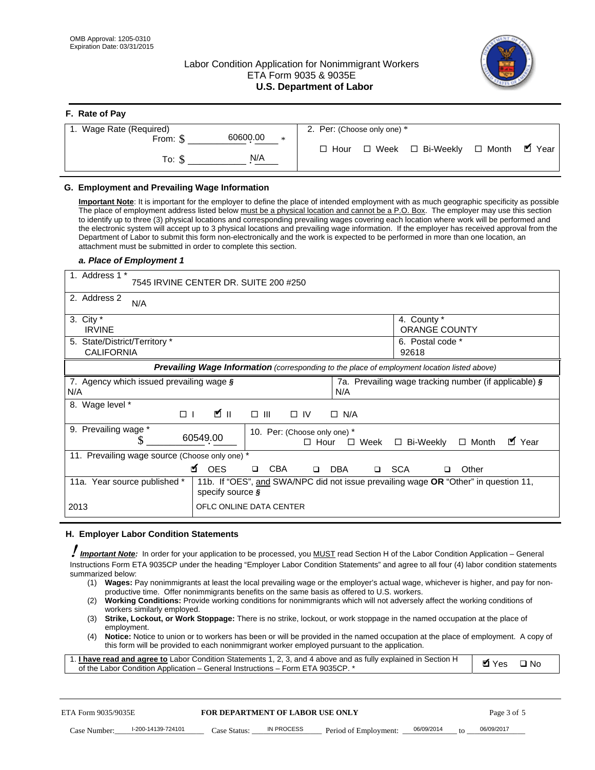# Labor Condition Application for Nonimmigrant Workers ETA Form 9035 & 9035E **U.S. Department of Labor**



| F. Rate of Pay                 |                                                     |
|--------------------------------|-----------------------------------------------------|
| 1. Wage Rate (Required)        | 2. Per: (Choose only one) *                         |
| 60600.00<br>From: \$<br>$\ast$ |                                                     |
| N/A<br>To: \$                  | ■ Year<br>□ Week □ Bi-Weekly □ Month<br>$\Box$ Hour |

## **G. Employment and Prevailing Wage Information**

#### *a. Place of Employment 1*

| From: \$                                                                                                                                                                                                                                                                                                                                                                                                                                                                                                                                                                                                                                                                                                                                                                                                                                  | 60600.00<br>$\ast$                                                                                                                                                                                                                                                                                                                                                                                                                                                                                                                                                                                                                                                                                                                | $\Box$ Hour                                 | $\Box$ Week           | $\Box$ Bi-Weekly                                      | $\Box$ Month | $\blacksquare$ Year |
|-------------------------------------------------------------------------------------------------------------------------------------------------------------------------------------------------------------------------------------------------------------------------------------------------------------------------------------------------------------------------------------------------------------------------------------------------------------------------------------------------------------------------------------------------------------------------------------------------------------------------------------------------------------------------------------------------------------------------------------------------------------------------------------------------------------------------------------------|-----------------------------------------------------------------------------------------------------------------------------------------------------------------------------------------------------------------------------------------------------------------------------------------------------------------------------------------------------------------------------------------------------------------------------------------------------------------------------------------------------------------------------------------------------------------------------------------------------------------------------------------------------------------------------------------------------------------------------------|---------------------------------------------|-----------------------|-------------------------------------------------------|--------------|---------------------|
| To: $$$                                                                                                                                                                                                                                                                                                                                                                                                                                                                                                                                                                                                                                                                                                                                                                                                                                   | N/A                                                                                                                                                                                                                                                                                                                                                                                                                                                                                                                                                                                                                                                                                                                               |                                             |                       |                                                       |              |                     |
| G. Employment and Prevailing Wage Information<br>Important Note: It is important for the employer to define the place of intended employment with as much geographic specificity as possible<br>The place of employment address listed below must be a physical location and cannot be a P.O. Box. The employer may use this section<br>to identify up to three (3) physical locations and corresponding prevailing wages covering each location where work will be performed and<br>the electronic system will accept up to 3 physical locations and prevailing wage information. If the employer has received approval from the<br>Department of Labor to submit this form non-electronically and the work is expected to be performed in more than one location, an<br>attachment must be submitted in order to complete this section. |                                                                                                                                                                                                                                                                                                                                                                                                                                                                                                                                                                                                                                                                                                                                   |                                             |                       |                                                       |              |                     |
| a. Place of Employment 1                                                                                                                                                                                                                                                                                                                                                                                                                                                                                                                                                                                                                                                                                                                                                                                                                  |                                                                                                                                                                                                                                                                                                                                                                                                                                                                                                                                                                                                                                                                                                                                   |                                             |                       |                                                       |              |                     |
| 1. Address 1 *                                                                                                                                                                                                                                                                                                                                                                                                                                                                                                                                                                                                                                                                                                                                                                                                                            | 7545 IRVINE CENTER DR. SUITE 200 #250                                                                                                                                                                                                                                                                                                                                                                                                                                                                                                                                                                                                                                                                                             |                                             |                       |                                                       |              |                     |
| 2. Address 2<br>N/A                                                                                                                                                                                                                                                                                                                                                                                                                                                                                                                                                                                                                                                                                                                                                                                                                       |                                                                                                                                                                                                                                                                                                                                                                                                                                                                                                                                                                                                                                                                                                                                   |                                             |                       |                                                       |              |                     |
| 3. City $*$<br><b>IRVINE</b>                                                                                                                                                                                                                                                                                                                                                                                                                                                                                                                                                                                                                                                                                                                                                                                                              |                                                                                                                                                                                                                                                                                                                                                                                                                                                                                                                                                                                                                                                                                                                                   |                                             |                       | 4. County *<br>ORANGE COUNTY                          |              |                     |
| 5. State/District/Territory *<br><b>CALIFORNIA</b>                                                                                                                                                                                                                                                                                                                                                                                                                                                                                                                                                                                                                                                                                                                                                                                        |                                                                                                                                                                                                                                                                                                                                                                                                                                                                                                                                                                                                                                                                                                                                   |                                             |                       | 6. Postal code *<br>92618                             |              |                     |
|                                                                                                                                                                                                                                                                                                                                                                                                                                                                                                                                                                                                                                                                                                                                                                                                                                           | Prevailing Wage Information (corresponding to the place of employment location listed above)                                                                                                                                                                                                                                                                                                                                                                                                                                                                                                                                                                                                                                      |                                             |                       |                                                       |              |                     |
| 7. Agency which issued prevailing wage §<br>N/A                                                                                                                                                                                                                                                                                                                                                                                                                                                                                                                                                                                                                                                                                                                                                                                           |                                                                                                                                                                                                                                                                                                                                                                                                                                                                                                                                                                                                                                                                                                                                   | N/A                                         |                       | 7a. Prevailing wage tracking number (if applicable) § |              |                     |
| 8. Wage level *<br>$\Box$                                                                                                                                                                                                                                                                                                                                                                                                                                                                                                                                                                                                                                                                                                                                                                                                                 | <b>M</b><br>$\Box$<br>III                                                                                                                                                                                                                                                                                                                                                                                                                                                                                                                                                                                                                                                                                                         | $\Box$ IV<br>$\Box$ N/A                     |                       |                                                       |              |                     |
| 9. Prevailing wage *<br>\$                                                                                                                                                                                                                                                                                                                                                                                                                                                                                                                                                                                                                                                                                                                                                                                                                | 60549.00                                                                                                                                                                                                                                                                                                                                                                                                                                                                                                                                                                                                                                                                                                                          | 10. Per: (Choose only one) *<br>$\Box$ Hour | $\Box$ Week           | □ Bi-Weekly                                           | $\Box$ Month | ■ Year              |
| 11. Prevailing wage source (Choose only one) *                                                                                                                                                                                                                                                                                                                                                                                                                                                                                                                                                                                                                                                                                                                                                                                            | <b>¤</b> OES<br><b>CBA</b>                                                                                                                                                                                                                                                                                                                                                                                                                                                                                                                                                                                                                                                                                                        | <b>DBA</b><br>$\Box$                        |                       | □ SCA<br>□                                            | Other        |                     |
| 11a. Year source published *                                                                                                                                                                                                                                                                                                                                                                                                                                                                                                                                                                                                                                                                                                                                                                                                              | 11b. If "OES", and SWA/NPC did not issue prevailing wage OR "Other" in question 11,<br>specify source $\boldsymbol{\S}$                                                                                                                                                                                                                                                                                                                                                                                                                                                                                                                                                                                                           |                                             |                       |                                                       |              |                     |
| 2013                                                                                                                                                                                                                                                                                                                                                                                                                                                                                                                                                                                                                                                                                                                                                                                                                                      | OFLC ONLINE DATA CENTER                                                                                                                                                                                                                                                                                                                                                                                                                                                                                                                                                                                                                                                                                                           |                                             |                       |                                                       |              |                     |
| H. Employer Labor Condition Statements                                                                                                                                                                                                                                                                                                                                                                                                                                                                                                                                                                                                                                                                                                                                                                                                    |                                                                                                                                                                                                                                                                                                                                                                                                                                                                                                                                                                                                                                                                                                                                   |                                             |                       |                                                       |              |                     |
| I Important Note: In order for your application to be processed, you MUST read Section H of the Labor Condition Application – General<br>Instructions Form ETA 9035CP under the heading "Employer Labor Condition Statements" and agree to all four (4) labor condition statements<br>summarized below:<br>(2)<br>workers similarly employed.<br>(3)<br>employment.<br>(4)<br>1. I have read and agree to Labor Condition Statements 1, 2, 3, and 4 above and as fully explained in Section H<br>of the Labor Condition Application - General Instructions - Form ETA 9035CP. *                                                                                                                                                                                                                                                           | (1) Wages: Pay nonimmigrants at least the local prevailing wage or the employer's actual wage, whichever is higher, and pay for non-<br>productive time. Offer nonimmigrants benefits on the same basis as offered to U.S. workers.<br>Working Conditions: Provide working conditions for nonimmigrants which will not adversely affect the working conditions of<br>Strike, Lockout, or Work Stoppage: There is no strike, lockout, or work stoppage in the named occupation at the place of<br>Notice: Notice to union or to workers has been or will be provided in the named occupation at the place of employment. A copy of<br>this form will be provided to each nonimmigrant worker employed pursuant to the application. |                                             |                       |                                                       | <b>Ø</b> Yes | $\square$ No        |
| ETA Form 9035/9035E                                                                                                                                                                                                                                                                                                                                                                                                                                                                                                                                                                                                                                                                                                                                                                                                                       | <b>FOR DEPARTMENT OF LABOR USE ONLY</b>                                                                                                                                                                                                                                                                                                                                                                                                                                                                                                                                                                                                                                                                                           |                                             |                       |                                                       | Page 3 of 5  |                     |
| I-200-14139-724101<br>Case Number:                                                                                                                                                                                                                                                                                                                                                                                                                                                                                                                                                                                                                                                                                                                                                                                                        | <b>IN PROCESS</b><br>Case Status:                                                                                                                                                                                                                                                                                                                                                                                                                                                                                                                                                                                                                                                                                                 |                                             | Period of Employment: | 06/09/2014                                            | 06/09/2017   |                     |

#### **H. Employer Labor Condition Statements**

- (1) **Wages:** Pay nonimmigrants at least the local prevailing wage or the employer's actual wage, whichever is higher, and pay for nonproductive time. Offer nonimmigrants benefits on the same basis as offered to U.S. workers.
- (2) **Working Conditions:** Provide working conditions for nonimmigrants which will not adversely affect the working conditions of workers similarly employed.
- (3) **Strike, Lockout, or Work Stoppage:** There is no strike, lockout, or work stoppage in the named occupation at the place of employment.
- (4) **Notice:** Notice to union or to workers has been or will be provided in the named occupation at the place of employment. A copy of this form will be provided to each nonimmigrant worker employed pursuant to the application.

| 1. I have read and agree to Labor Condition Statements 1, 2, 3, and 4 above and as fully explained in Section H | Øl Yes | $\Box$ No |
|-----------------------------------------------------------------------------------------------------------------|--------|-----------|
| of the Labor Condition Application – General Instructions – Form ETA 9035CP. *                                  |        |           |

| ETA Form 9035/9035E |                    | <b>FOR DEPARTMENT OF LABOR USE ONLY</b> |            |                       | Page 3 of 5 |     |            |
|---------------------|--------------------|-----------------------------------------|------------|-----------------------|-------------|-----|------------|
| Case Number:        | l-200-14139-724101 | Case Status:                            | IN PROCESS | Period of Employment: | 06/09/2014  | to. | 06/09/2017 |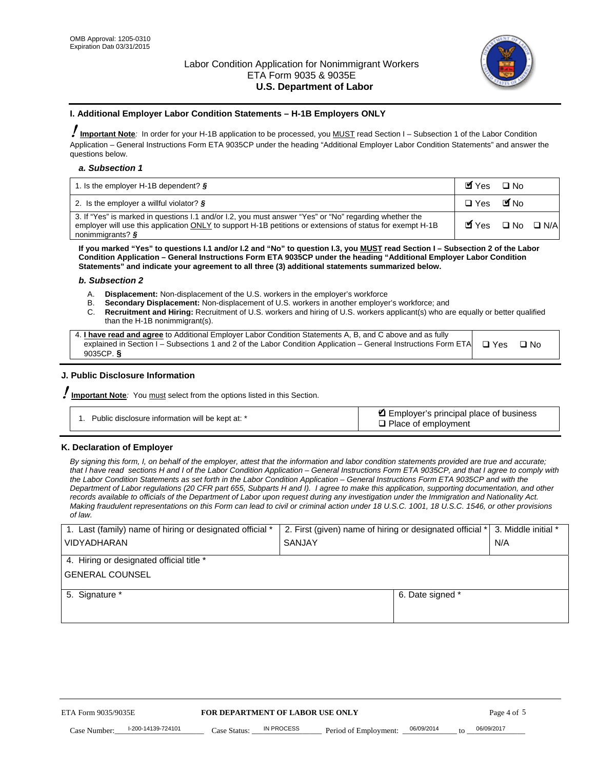

#### **I. Additional Employer Labor Condition Statements – H-1B Employers ONLY**

!**Important Note***:* In order for your H-1B application to be processed, you MUST read Section I – Subsection 1 of the Labor Condition Application – General Instructions Form ETA 9035CP under the heading "Additional Employer Labor Condition Statements" and answer the questions below.

#### *a. Subsection 1*

| 1. Is the employer H-1B dependent? $\S$                                                                                                                                                                                                 | Myes                                          | $\Box$ No              |  |
|-----------------------------------------------------------------------------------------------------------------------------------------------------------------------------------------------------------------------------------------|-----------------------------------------------|------------------------|--|
| 2. Is the employer a willful violator? $\frac{1}{2}$                                                                                                                                                                                    | $\Box$ Yes                                    | <b>M</b> <sub>No</sub> |  |
| 3. If "Yes" is marked in questions 1.1 and/or 1.2, you must answer "Yes" or "No" regarding whether the<br>employer will use this application ONLY to support H-1B petitions or extensions of status for exempt H-1B<br>nonimmigrants? § | $\blacksquare$ Yes $\square$ No $\square$ N/A |                        |  |

**If you marked "Yes" to questions I.1 and/or I.2 and "No" to question I.3, you MUST read Section I – Subsection 2 of the Labor Condition Application – General Instructions Form ETA 9035CP under the heading "Additional Employer Labor Condition Statements" and indicate your agreement to all three (3) additional statements summarized below.** 

#### *b. Subsection 2*

- A. **Displacement:** Non-displacement of the U.S. workers in the employer's workforce
- B. **Secondary Displacement:** Non-displacement of U.S. workers in another employer's workforce; and
- C. **Recruitment and Hiring:** Recruitment of U.S. workers and hiring of U.S. workers applicant(s) who are equally or better qualified than the H-1B nonimmigrant(s).

| 4. I have read and agree to Additional Employer Labor Condition Statements A, B, and C above and as fully                  |      |
|----------------------------------------------------------------------------------------------------------------------------|------|
| explained in Section I – Subsections 1 and 2 of the Labor Condition Application – General Instructions Form ETA $\Box$ Yes | ∩ Nח |
| 9035CP. $\delta$                                                                                                           |      |

# **J. Public Disclosure Information**

!**Important Note***:* You must select from the options listed in this Section.

| Public disclosure information will be kept at: * | Employer's principal place of business<br>$\Box$ Place of employment |
|--------------------------------------------------|----------------------------------------------------------------------|
|--------------------------------------------------|----------------------------------------------------------------------|

#### **K. Declaration of Employer**

*By signing this form, I, on behalf of the employer, attest that the information and labor condition statements provided are true and accurate;*  that I have read sections H and I of the Labor Condition Application – General Instructions Form ETA 9035CP, and that I agree to comply with *the Labor Condition Statements as set forth in the Labor Condition Application – General Instructions Form ETA 9035CP and with the Department of Labor regulations (20 CFR part 655, Subparts H and I). I agree to make this application, supporting documentation, and other records available to officials of the Department of Labor upon request during any investigation under the Immigration and Nationality Act. Making fraudulent representations on this Form can lead to civil or criminal action under 18 U.S.C. 1001, 18 U.S.C. 1546, or other provisions of law.* 

| 1. Last (family) name of hiring or designated official *               | 2. First (given) name of hiring or designated official * | 3. Middle initial *               |            |
|------------------------------------------------------------------------|----------------------------------------------------------|-----------------------------------|------------|
| <b>VIDYADHARAN</b>                                                     | <b>SANJAY</b>                                            | N/A                               |            |
| 4. Hiring or designated official title *                               |                                                          |                                   |            |
| <b>GENERAL COUNSEL</b>                                                 |                                                          |                                   |            |
| 5. Signature *                                                         |                                                          | 6. Date signed *                  |            |
|                                                                        |                                                          |                                   |            |
|                                                                        |                                                          |                                   |            |
|                                                                        |                                                          |                                   |            |
|                                                                        |                                                          |                                   |            |
| FOR DEPARTMENT OF LABOR USE ONLY<br>ETA Form 9035/9035E<br>Page 4 of 5 |                                                          |                                   |            |
| I-200-14139-724101<br>Case Number<br>Case Status:                      | IN PROCESS<br>Period of Employment:                      | 06/09/2014<br>$\mathsf{t} \alpha$ | 06/09/2017 |